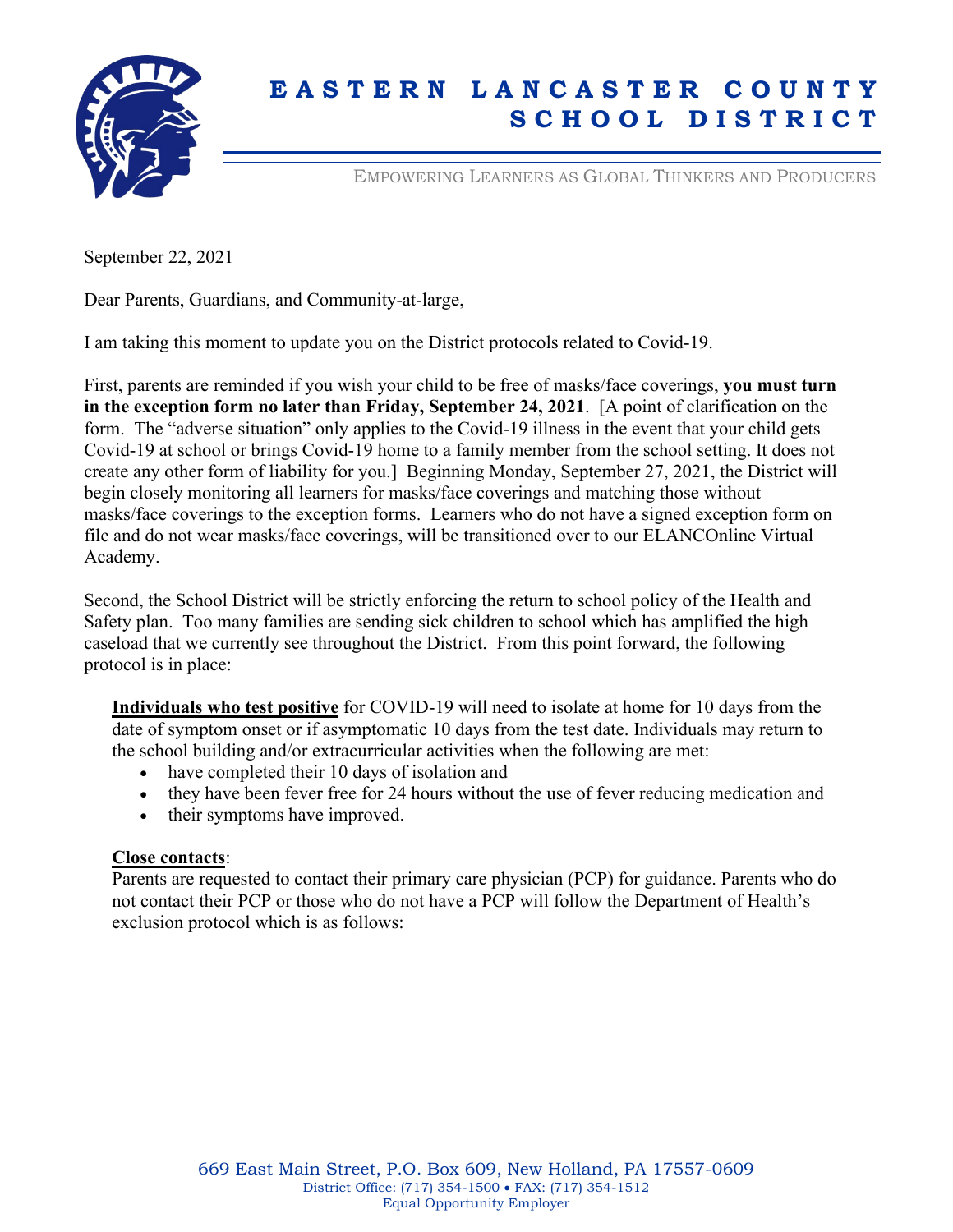

# **E A S T E R N L A N C A S T E R C O U N T Y S C H O O L D I S T R I C T**

EMPOWERING LEARNERS AS GLOBAL THINKERS AND PRODUCERS

September 22, 2021

Dear Parents, Guardians, and Community-at-large,

I am taking this moment to update you on the District protocols related to Covid-19.

First, parents are reminded if you wish your child to be free of masks/face coverings, **you must turn in the exception form no later than Friday, September 24, 2021**. [A point of clarification on the form. The "adverse situation" only applies to the Covid-19 illness in the event that your child gets Covid-19 at school or brings Covid-19 home to a family member from the school setting. It does not create any other form of liability for you.] Beginning Monday, September 27, 2021, the District will begin closely monitoring all learners for masks/face coverings and matching those without masks/face coverings to the exception forms. Learners who do not have a signed exception form on file and do not wear masks/face coverings, will be transitioned over to our ELANCOnline Virtual Academy.

Second, the School District will be strictly enforcing the return to school policy of the Health and Safety plan. Too many families are sending sick children to school which has amplified the high caseload that we currently see throughout the District. From this point forward, the following protocol is in place:

**Individuals who test positive** for COVID-19 will need to isolate at home for 10 days from the date of symptom onset or if asymptomatic 10 days from the test date. Individuals may return to the school building and/or extracurricular activities when the following are met:

- have completed their 10 days of isolation and
- they have been fever free for 24 hours without the use of fever reducing medication and
- their symptoms have improved.

### **Close contacts**:

Parents are requested to contact their primary care physician (PCP) for guidance. Parents who do not contact their PCP or those who do not have a PCP will follow the Department of Health's exclusion protocol which is as follows: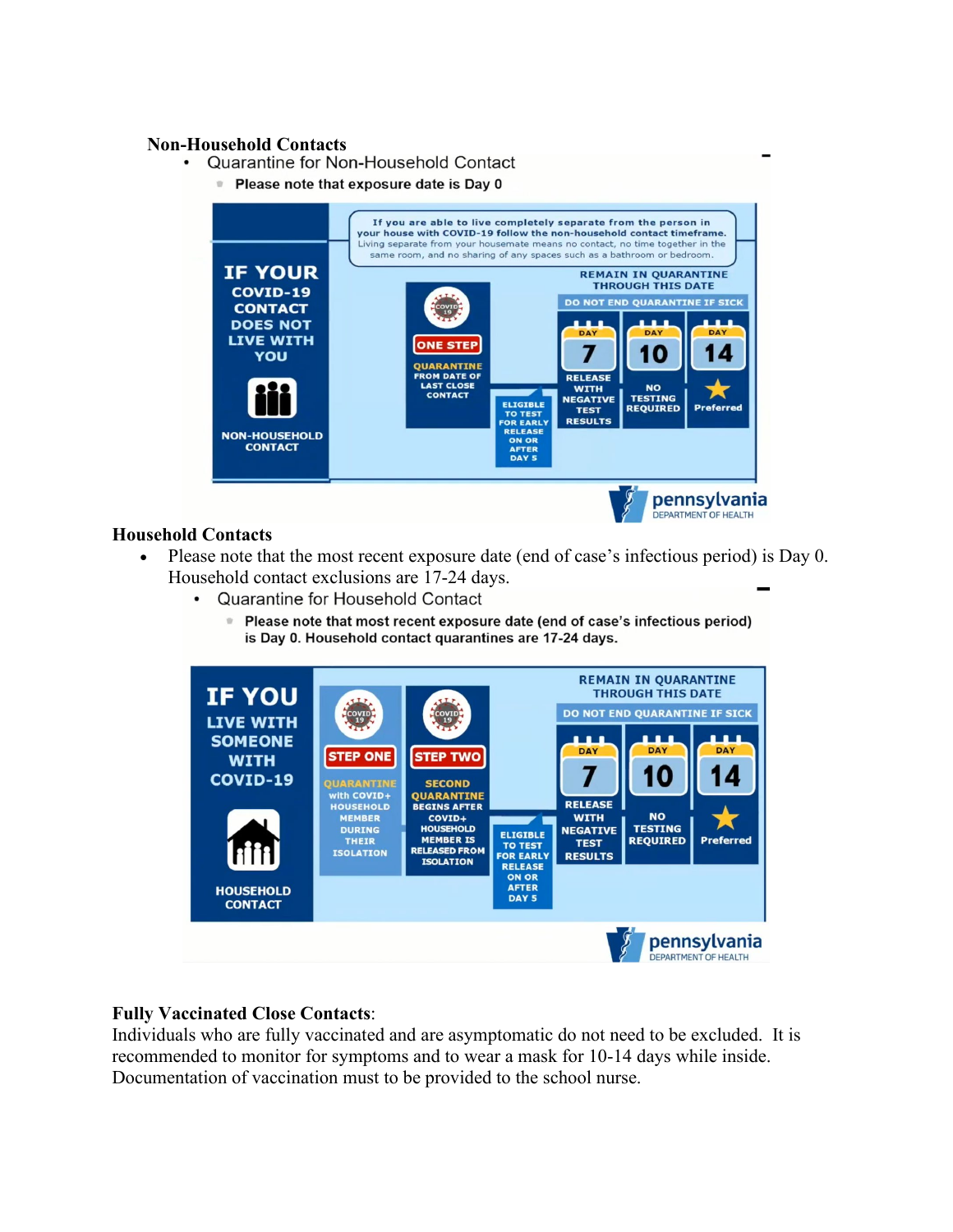- **Non-Household Contacts**
	- Please note that exposure date is Day 0



## **Household Contacts**

- Please note that the most recent exposure date (end of case's infectious period) is Day 0. Household contact exclusions are 17-24 days.
	- Quarantine for Household Contact
		- P Please note that most recent exposure date (end of case's infectious period) is Day 0. Household contact quarantines are 17-24 days.



# **Fully Vaccinated Close Contacts**:

Individuals who are fully vaccinated and are asymptomatic do not need to be excluded. It is recommended to monitor for symptoms and to wear a mask for 10-14 days while inside. Documentation of vaccination must to be provided to the school nurse.